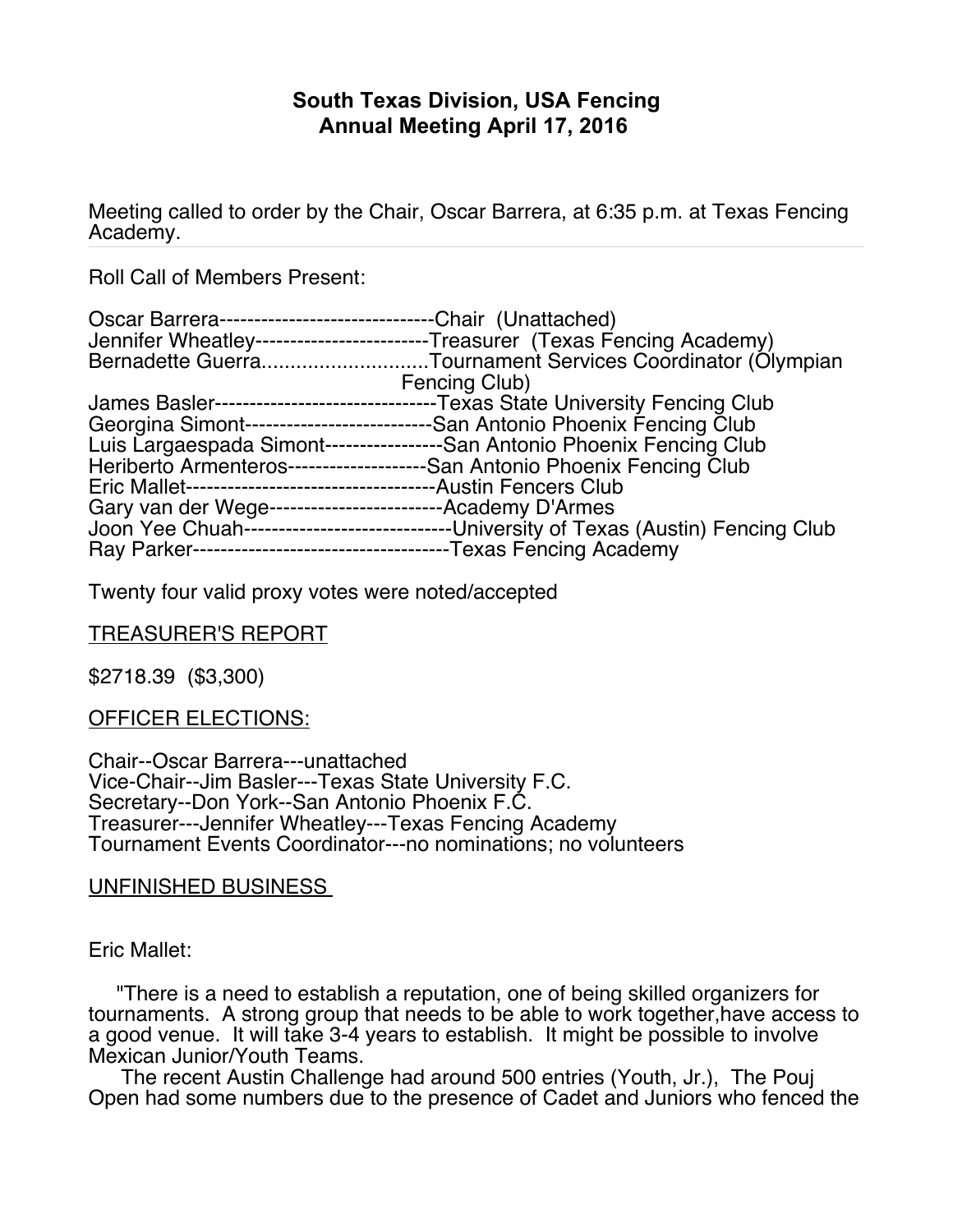# **South Texas Division, USA Fencing Annual Meeting April 17, 2016**

Meeting called to order by the Chair, Oscar Barrera, at 6:35 p.m. at Texas Fencing Academy.

Roll Call of Members Present:

| Oscar Barrera----------------------------- | -Chair (Unattached)                                                          |
|--------------------------------------------|------------------------------------------------------------------------------|
|                                            | Jennifer Wheatley--------------------------Treasurer (Texas Fencing Academy) |
|                                            | Bernadette GuerraTournament Services Coordinator (Olympian                   |
|                                            | Fencing Club)                                                                |
| James Basler---------<br>------------      | -Texas State University Fencing Club                                         |
| Georgina Simont------<br>                  | -San Antonio Phoenix Fencing Club                                            |
|                                            | Luis Largaespada Simont------------------San Antonio Phoenix Fencing Club    |
| <b>Heriberto Armenteros-</b>               | ----------------San Antonio Phoenix Fencing Club                             |
| <b>Eric Mallet----------</b>               | --Austin Fencers Club                                                        |
| Gary van der Wege------------------------  | -Academy D'Armes                                                             |
| Joon Yee Chuah--                           | --------------------------University of Texas (Austin) Fencing Club          |
| Ray Parker--                               | -----------------------------------Texas Fencing Academy                     |

Twenty four valid proxy votes were noted/accepted

### TREASURER'S REPORT

\$2718.39 (\$3,300)

### OFFICER ELECTIONS:

Chair--Oscar Barrera---unattached Vice-Chair--Jim Basler---Texas State University F.C. Secretary--Don York--San Antonio Phoenix F.C. Treasurer---Jennifer Wheatley---Texas Fencing Academy Tournament Events Coordinator---no nominations; no volunteers

#### UNFINISHED BUSINESS

Eric Mallet:

"There is a need to establish a reputation, one of being skilled organizers for tournaments. A strong group that needs to be able to work together,have access to a good venue. It will take 3-4 years to establish. It might be possible to involve Mexican Junior/Youth Teams.

The recent Austin Challenge had around 500 entries (Youth, Jr.), The Pouj Open had some numbers due to the presence of Cadet and Juniors who fenced the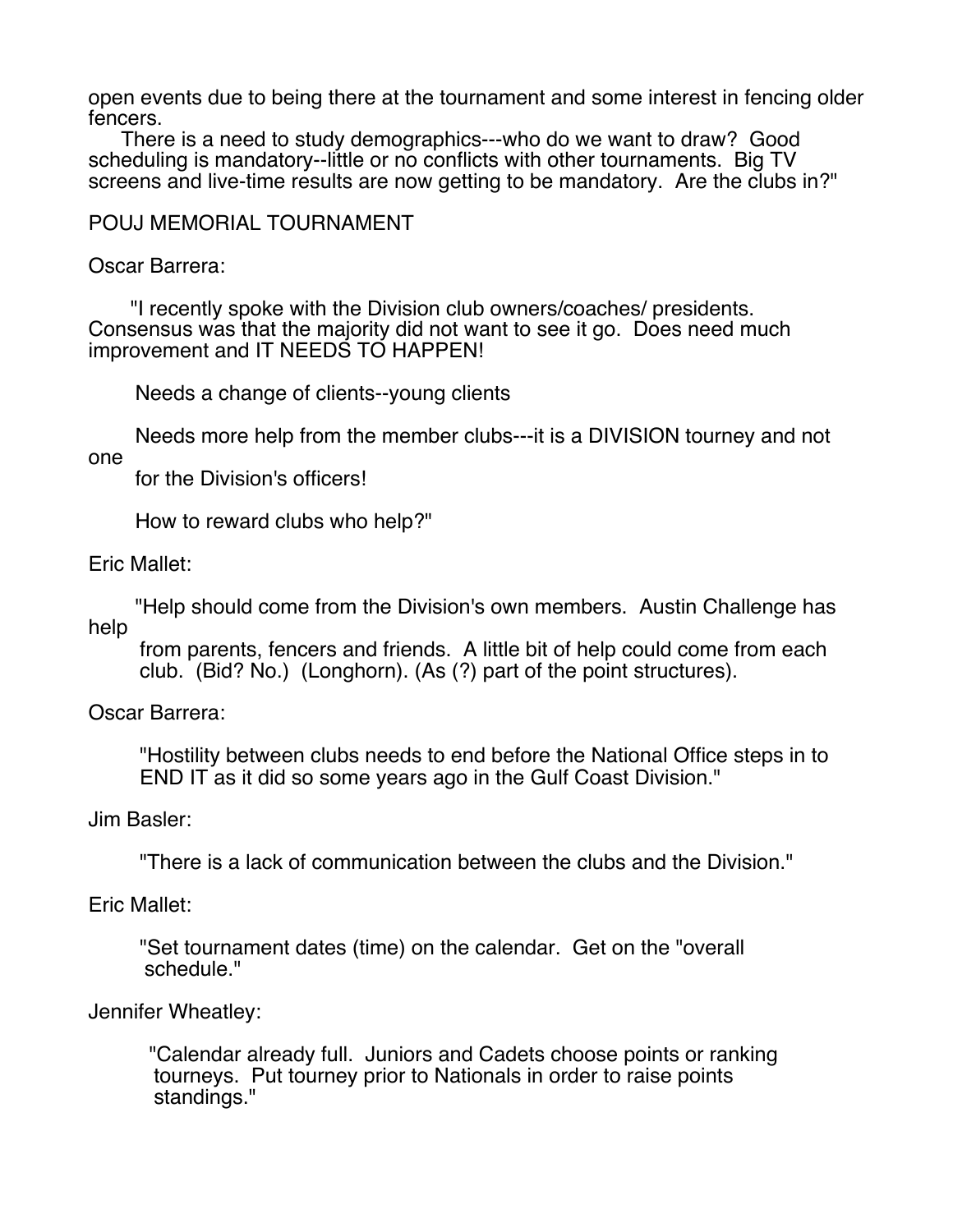open events due to being there at the tournament and some interest in fencing older fencers.

There is a need to study demographics---who do we want to draw? Good scheduling is mandatory--little or no conflicts with other tournaments. Big TV screens and live-time results are now getting to be mandatory. Are the clubs in?"

## POUJ MEMORIAL TOURNAMENT

Oscar Barrera:

"I recently spoke with the Division club owners/coaches/ presidents. Consensus was that the majority did not want to see it go. Does need much improvement and IT NEEDS TO HAPPEN!

Needs a change of clients--young clients

Needs more help from the member clubs---it is a DIVISION tourney and not one

for the Division's officers!

How to reward clubs who help?"

Eric Mallet:

"Help should come from the Division's own members. Austin Challenge has help

from parents, fencers and friends. A little bit of help could come from each club. (Bid? No.) (Longhorn). (As (?) part of the point structures).

Oscar Barrera:

"Hostility between clubs needs to end before the National Office steps in to END IT as it did so some years ago in the Gulf Coast Division."

Jim Basler:

"There is a lack of communication between the clubs and the Division."

Eric Mallet:

"Set tournament dates (time) on the calendar. Get on the "overall schedule."

Jennifer Wheatley:

"Calendar already full. Juniors and Cadets choose points or ranking tourneys. Put tourney prior to Nationals in order to raise points standings."